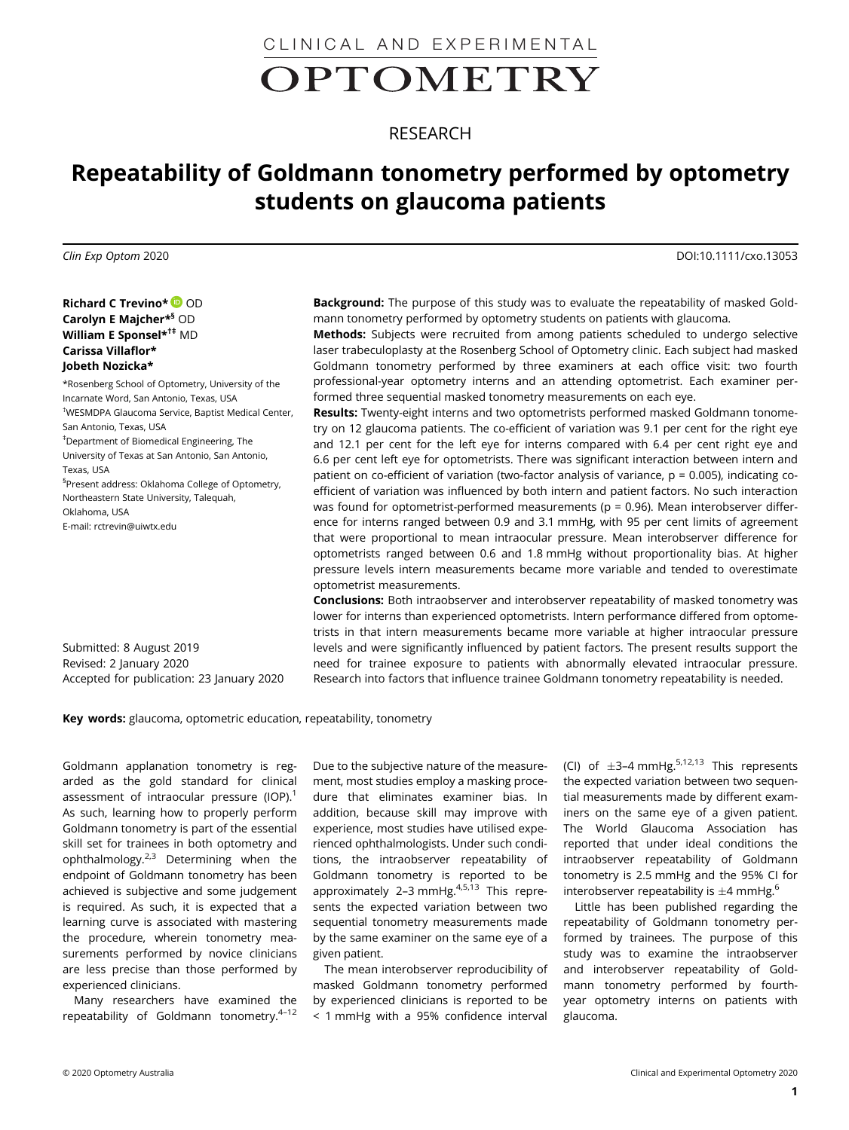# CLINICAL AND EXPERIMENTALOPTOMETRY

## RESEARCH

# Repeatability of Goldmann tonometry performed by optometry students on glaucoma patients

Clin Exp Optom 2020 DOI:10.1111/cxo.13053

Richard C Trevino\* **D** OD Carolyn E Majcher\*§ OD William E Sponsel\*†‡ MD Carissa Villaflor\* Jobeth Nozicka\*

\*Rosenberg School of Optometry, University of the Incarnate Word, San Antonio, Texas, USA † WESMDPA Glaucoma Service, Baptist Medical Center, San Antonio, Texas, USA ‡ Department of Biomedical Engineering, The University of Texas at San Antonio, San Antonio, Texas, USA  $^{\rm S}$ Present address: Oklahoma College of Optometry, Northeastern State University, Talequah, Oklahoma, USA E-mail: [rctrevin@uiwtx.edu](mailto:rctrevin@uiwtx.edu)

Submitted: 8 August 2019 Revised: 2 January 2020 Accepted for publication: 23 January 2020 Background: The purpose of this study was to evaluate the repeatability of masked Goldmann tonometry performed by optometry students on patients with glaucoma.

Methods: Subjects were recruited from among patients scheduled to undergo selective laser trabeculoplasty at the Rosenberg School of Optometry clinic. Each subject had masked Goldmann tonometry performed by three examiners at each office visit: two fourth professional-year optometry interns and an attending optometrist. Each examiner performed three sequential masked tonometry measurements on each eye.

Results: Twenty-eight interns and two optometrists performed masked Goldmann tonometry on 12 glaucoma patients. The co-efficient of variation was 9.1 per cent for the right eye and 12.1 per cent for the left eye for interns compared with 6.4 per cent right eye and 6.6 per cent left eye for optometrists. There was significant interaction between intern and patient on co-efficient of variation (two-factor analysis of variance,  $p = 0.005$ ), indicating coefficient of variation was influenced by both intern and patient factors. No such interaction was found for optometrist-performed measurements ( $p = 0.96$ ). Mean interobserver difference for interns ranged between 0.9 and 3.1 mmHg, with 95 per cent limits of agreement that were proportional to mean intraocular pressure. Mean interobserver difference for optometrists ranged between 0.6 and 1.8 mmHg without proportionality bias. At higher pressure levels intern measurements became more variable and tended to overestimate optometrist measurements.

**Conclusions:** Both intraobserver and interobserver repeatability of masked tonometry was lower for interns than experienced optometrists. Intern performance differed from optometrists in that intern measurements became more variable at higher intraocular pressure levels and were significantly influenced by patient factors. The present results support the need for trainee exposure to patients with abnormally elevated intraocular pressure. Research into factors that influence trainee Goldmann tonometry repeatability is needed.

Key words: glaucoma, optometric education, repeatability, tonometry

Goldmann applanation tonometry is regarded as the gold standard for clinical assessment of intraocular pressure (IOP).<sup>1</sup> As such, learning how to properly perform Goldmann tonometry is part of the essential skill set for trainees in both optometry and ophthalmology.2,3 Determining when the endpoint of Goldmann tonometry has been achieved is subjective and some judgement is required. As such, it is expected that a learning curve is associated with mastering the procedure, wherein tonometry measurements performed by novice clinicians are less precise than those performed by experienced clinicians.

Many researchers have examined the repeatability of Goldmann tonometry.4–<sup>12</sup>

Due to the subjective nature of the measurement, most studies employ a masking procedure that eliminates examiner bias. In addition, because skill may improve with experience, most studies have utilised experienced ophthalmologists. Under such conditions, the intraobserver repeatability of Goldmann tonometry is reported to be approximately 2-3 mmHg. $4,5,13$  This represents the expected variation between two sequential tonometry measurements made by the same examiner on the same eye of a given patient.

The mean interobserver reproducibility of masked Goldmann tonometry performed by experienced clinicians is reported to be < 1 mmHg with a 95% confidence interval

(CI) of  $\pm$ 3-4 mmHg.<sup>5,12,13</sup> This represents the expected variation between two sequential measurements made by different examiners on the same eye of a given patient. The World Glaucoma Association has reported that under ideal conditions the intraobserver repeatability of Goldmann tonometry is 2.5 mmHg and the 95% CI for interobserver repeatability is  $\pm 4$  mmHg.<sup>6</sup>

Little has been published regarding the repeatability of Goldmann tonometry performed by trainees. The purpose of this study was to examine the intraobserver and interobserver repeatability of Goldmann tonometry performed by fourthyear optometry interns on patients with glaucoma.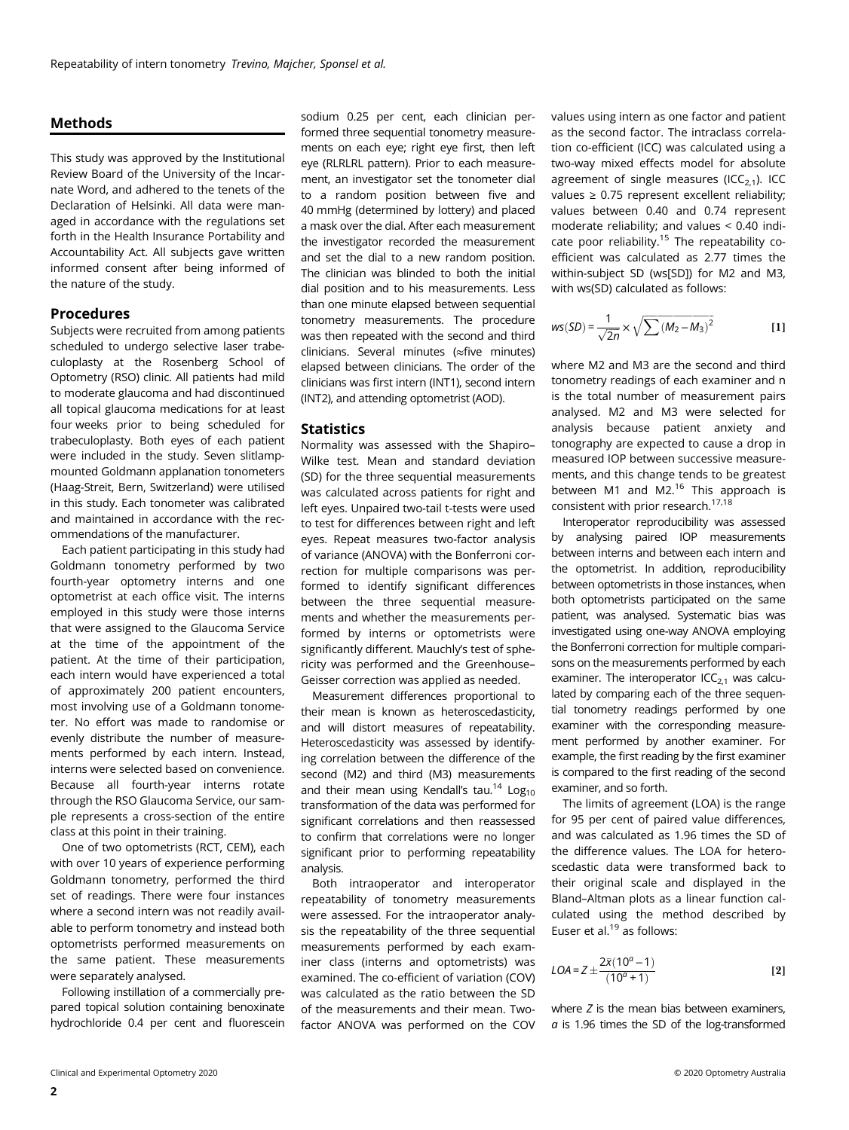### Methods

This study was approved by the Institutional Review Board of the University of the Incarnate Word, and adhered to the tenets of the Declaration of Helsinki. All data were managed in accordance with the regulations set forth in the Health Insurance Portability and Accountability Act. All subjects gave written informed consent after being informed of the nature of the study.

## Procedures

Subjects were recruited from among patients scheduled to undergo selective laser trabeculoplasty at the Rosenberg School of Optometry (RSO) clinic. All patients had mild to moderate glaucoma and had discontinued all topical glaucoma medications for at least four weeks prior to being scheduled for trabeculoplasty. Both eyes of each patient were included in the study. Seven slitlampmounted Goldmann applanation tonometers (Haag-Streit, Bern, Switzerland) were utilised in this study. Each tonometer was calibrated and maintained in accordance with the recommendations of the manufacturer.

Each patient participating in this study had Goldmann tonometry performed by two fourth-year optometry interns and one optometrist at each office visit. The interns employed in this study were those interns that were assigned to the Glaucoma Service at the time of the appointment of the patient. At the time of their participation, each intern would have experienced a total of approximately 200 patient encounters, most involving use of a Goldmann tonometer. No effort was made to randomise or evenly distribute the number of measurements performed by each intern. Instead, interns were selected based on convenience. Because all fourth-year interns rotate through the RSO Glaucoma Service, our sample represents a cross-section of the entire class at this point in their training.

One of two optometrists (RCT, CEM), each with over 10 years of experience performing Goldmann tonometry, performed the third set of readings. There were four instances where a second intern was not readily available to perform tonometry and instead both optometrists performed measurements on the same patient. These measurements were separately analysed.

Following instillation of a commercially prepared topical solution containing benoxinate hydrochloride 0.4 per cent and fluorescein

sodium 0.25 per cent, each clinician performed three sequential tonometry measurements on each eye; right eye first, then left eye (RLRLRL pattern). Prior to each measurement, an investigator set the tonometer dial to a random position between five and 40 mmHg (determined by lottery) and placed a mask over the dial. After each measurement the investigator recorded the measurement and set the dial to a new random position. The clinician was blinded to both the initial dial position and to his measurements. Less than one minute elapsed between sequential tonometry measurements. The procedure was then repeated with the second and third clinicians. Several minutes (≈five minutes) elapsed between clinicians. The order of the clinicians was first intern (INT1), second intern (INT2), and attending optometrist (AOD).

### Statistics

Normality was assessed with the Shapiro– Wilke test. Mean and standard deviation (SD) for the three sequential measurements was calculated across patients for right and left eyes. Unpaired two-tail t-tests were used to test for differences between right and left eyes. Repeat measures two-factor analysis of variance (ANOVA) with the Bonferroni correction for multiple comparisons was performed to identify significant differences between the three sequential measurements and whether the measurements performed by interns or optometrists were significantly different. Mauchly's test of sphericity was performed and the Greenhouse– Geisser correction was applied as needed.

Measurement differences proportional to their mean is known as heteroscedasticity, and will distort measures of repeatability. Heteroscedasticity was assessed by identifying correlation between the difference of the second (M2) and third (M3) measurements and their mean using Kendall's tau.<sup>14</sup> Log<sub>10</sub> transformation of the data was performed for significant correlations and then reassessed to confirm that correlations were no longer significant prior to performing repeatability analysis.

Both intraoperator and interoperator repeatability of tonometry measurements were assessed. For the intraoperator analysis the repeatability of the three sequential measurements performed by each examiner class (interns and optometrists) was examined. The co-efficient of variation (COV) was calculated as the ratio between the SD of the measurements and their mean. Twofactor ANOVA was performed on the COV

values using intern as one factor and patient as the second factor. The intraclass correlation co-efficient (ICC) was calculated using a two-way mixed effects model for absolute agreement of single measures (ICC<sub>2,1</sub>). ICC values  $\geq 0.75$  represent excellent reliability; values between 0.40 and 0.74 represent moderate reliability; and values < 0.40 indicate poor reliability.<sup>15</sup> The repeatability coefficient was calculated as 2.77 times the within-subject SD (ws[SD]) for M2 and M3, with ws(SD) calculated as follows:

$$
ws(SD) = \frac{1}{\sqrt{2n}} \times \sqrt{\sum (M_2 - M_3)^2}
$$
 [1]

where M2 and M3 are the second and third tonometry readings of each examiner and n is the total number of measurement pairs analysed. M2 and M3 were selected for analysis because patient anxiety and tonography are expected to cause a drop in measured IOP between successive measurements, and this change tends to be greatest between M1 and M2.<sup>16</sup> This approach is consistent with prior research.<sup>17,18</sup>

Interoperator reproducibility was assessed by analysing paired IOP measurements between interns and between each intern and the optometrist. In addition, reproducibility between optometrists in those instances, when both optometrists participated on the same patient, was analysed. Systematic bias was investigated using one-way ANOVA employing the Bonferroni correction for multiple comparisons on the measurements performed by each examiner. The interoperator  $ICC_{2,1}$  was calculated by comparing each of the three sequential tonometry readings performed by one examiner with the corresponding measurement performed by another examiner. For example, the first reading by the first examiner is compared to the first reading of the second examiner, and so forth.

The limits of agreement (LOA) is the range for 95 per cent of paired value differences, and was calculated as 1.96 times the SD of the difference values. The LOA for heteroscedastic data were transformed back to their original scale and displayed in the Bland–Altman plots as a linear function calculated using the method described by Euser et al. $^{19}$  as follows:

$$
LOA = Z \pm \frac{2\bar{x}(10^a - 1)}{(10^a + 1)}
$$
 [2]

where Z is the mean bias between examiners,  $a$  is 1.96 times the SD of the log-transformed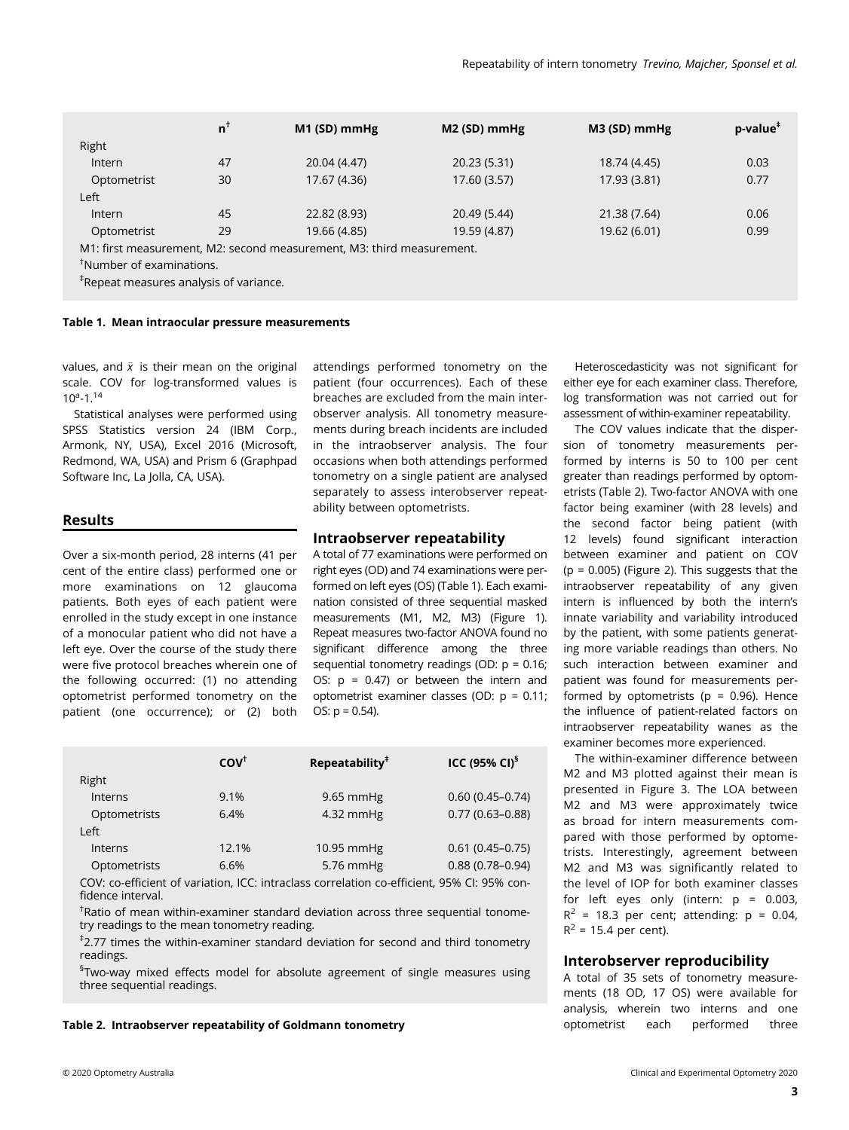|                                     | $n^{\dagger}$ | M1 (SD) mmHg                                                          | M2 (SD) mmHg | M3 (SD) mmHg | $p$ -value <sup><math>#</math></sup> |
|-------------------------------------|---------------|-----------------------------------------------------------------------|--------------|--------------|--------------------------------------|
| Right                               |               |                                                                       |              |              |                                      |
| Intern                              | 47            | 20.04 (4.47)                                                          | 20.23 (5.31) | 18.74 (4.45) | 0.03                                 |
| Optometrist                         | 30            | 17.67 (4.36)                                                          | 17.60 (3.57) | 17.93 (3.81) | 0.77                                 |
| Left                                |               |                                                                       |              |              |                                      |
| Intern                              | 45            | 22.82 (8.93)                                                          | 20.49 (5.44) | 21.38 (7.64) | 0.06                                 |
| Optometrist                         | 29            | 19.66 (4.85)                                                          | 19.59 (4.87) | 19.62 (6.01) | 0.99                                 |
|                                     |               | M1: first measurement, M2: second measurement, M3: third measurement. |              |              |                                      |
| <sup>T</sup> Number of examinations |               |                                                                       |              |              |                                      |

Number of examinations.

‡ Repeat measures analysis of variance.

#### Table 1. Mean intraocular pressure measurements

values, and  $\bar{x}$  is their mean on the original scale. COV for log-transformed values is  $10^a$ -1.<sup>14</sup>

Statistical analyses were performed using SPSS Statistics version 24 (IBM Corp., Armonk, NY, USA), Excel 2016 (Microsoft, Redmond, WA, USA) and Prism 6 (Graphpad Software Inc, La Jolla, CA, USA).

## Results

Over a six-month period, 28 interns (41 per cent of the entire class) performed one or more examinations on 12 glaucoma patients. Both eyes of each patient were enrolled in the study except in one instance of a monocular patient who did not have a left eye. Over the course of the study there were five protocol breaches wherein one of the following occurred: (1) no attending optometrist performed tonometry on the patient (one occurrence); or (2) both

attendings performed tonometry on the patient (four occurrences). Each of these breaches are excluded from the main interobserver analysis. All tonometry measurements during breach incidents are included in the intraobserver analysis. The four occasions when both attendings performed tonometry on a single patient are analysed separately to assess interobserver repeatability between optometrists.

### Intraobserver repeatability

A total of 77 examinations were performed on right eyes (OD) and 74 examinations were performed on left eyes (OS) (Table 1). Each examination consisted of three sequential masked measurements (M1, M2, M3) (Figure 1). Repeat measures two-factor ANOVA found no significant difference among the three sequential tonometry readings (OD: p = 0.16; OS:  $p = 0.47$ ) or between the intern and optometrist examiner classes (OD: p = 0.11; OS: p = 0.54).

|              | COV <sup>†</sup> | Repeatability <sup>#</sup> | <b>ICC (95% CI)</b> <sup>§</sup> |
|--------------|------------------|----------------------------|----------------------------------|
| Right        |                  |                            |                                  |
| Interns      | 9.1%             | $9.65$ mmHg                | $0.60(0.45 - 0.74)$              |
| Optometrists | 6.4%             | $4.32$ mmHg                | $0.77(0.63 - 0.88)$              |
| Left         |                  |                            |                                  |
| Interns      | 12.1%            | 10.95 mmHg                 | $0.61(0.45 - 0.75)$              |
| Optometrists | 6.6%             | 5.76 mmHg                  | $0.88(0.78 - 0.94)$              |

COV: co-efficient of variation, ICC: intraclass correlation co-efficient, 95% CI: 95% confidence interval.

† Ratio of mean within-examiner standard deviation across three sequential tonometry readings to the mean tonometry reading.

 $^{\ddagger}$ 2.77 times the within-examiner standard deviation for second and third tonometry readings.

 $^{\circ}$ Two-way mixed effects model for absolute agreement of single measures using three sequential readings.

Table 2. Intraobserver repeatability of Goldmann tonometry

Heteroscedasticity was not significant for either eye for each examiner class. Therefore, log transformation was not carried out for assessment of within-examiner repeatability.

The COV values indicate that the dispersion of tonometry measurements performed by interns is 50 to 100 per cent greater than readings performed by optometrists (Table 2). Two-factor ANOVA with one factor being examiner (with 28 levels) and the second factor being patient (with 12 levels) found significant interaction between examiner and patient on COV  $(p = 0.005)$  (Figure 2). This suggests that the intraobserver repeatability of any given intern is influenced by both the intern's innate variability and variability introduced by the patient, with some patients generating more variable readings than others. No such interaction between examiner and patient was found for measurements performed by optometrists ( $p = 0.96$ ). Hence the influence of patient-related factors on intraobserver repeatability wanes as the examiner becomes more experienced.

The within-examiner difference between M2 and M3 plotted against their mean is presented in Figure 3. The LOA between M2 and M3 were approximately twice as broad for intern measurements compared with those performed by optometrists. Interestingly, agreement between M2 and M3 was significantly related to the level of IOP for both examiner classes for left eyes only (intern:  $p = 0.003$ ,  $R^2$  = 18.3 per cent; attending: p = 0.04,  $R^2$  = 15.4 per cent).

### Interobserver reproducibility

A total of 35 sets of tonometry measurements (18 OD, 17 OS) were available for analysis, wherein two interns and one optometrist each performed three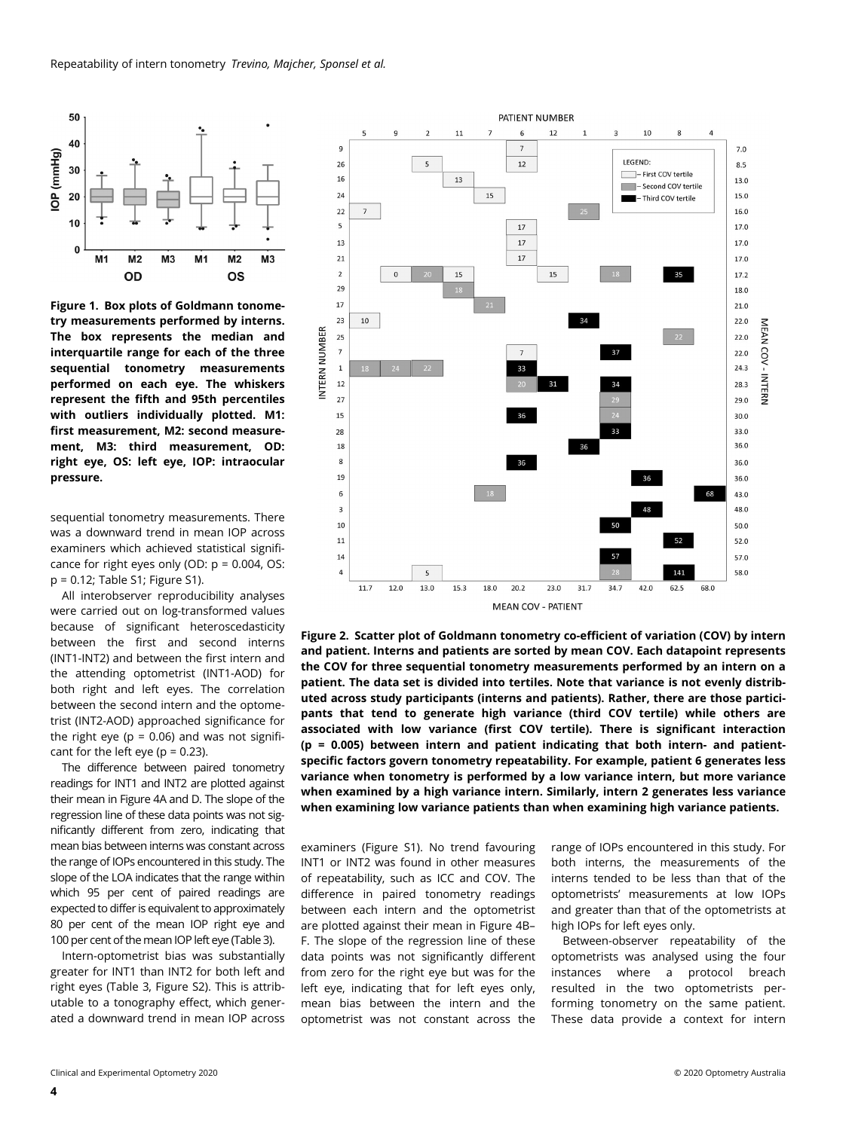

Figure 1. Box plots of Goldmann tonometry measurements performed by interns. The box represents the median and interquartile range for each of the three sequential tonometry measurements performed on each eye. The whiskers represent the fifth and 95th percentiles with outliers individually plotted. M1: first measurement, M2: second measurement, M3: third measurement, OD: right eye, OS: left eye, IOP: intraocular pressure.

sequential tonometry measurements. There was a downward trend in mean IOP across examiners which achieved statistical significance for right eyes only (OD:  $p = 0.004$ , OS: p = 0.12; Table S1; Figure S1).

All interobserver reproducibility analyses were carried out on log-transformed values because of significant heteroscedasticity between the first and second interns (INT1-INT2) and between the first intern and the attending optometrist (INT1-AOD) for both right and left eyes. The correlation between the second intern and the optometrist (INT2-AOD) approached significance for the right eye ( $p = 0.06$ ) and was not significant for the left eye ( $p = 0.23$ ).

The difference between paired tonometry readings for INT1 and INT2 are plotted against their mean in Figure 4A and D. The slope of the regression line of these data points was not significantly different from zero, indicating that mean bias between interns was constant across the range of IOPs encountered in this study. The slope of the LOA indicates that the range within which 95 per cent of paired readings are expected to differ is equivalent to approximately 80 per cent of the mean IOP right eye and 100 per cent of the mean IOP left eye (Table 3).

Intern-optometrist bias was substantially greater for INT1 than INT2 for both left and right eyes (Table 3, Figure S2). This is attributable to a tonography effect, which generated a downward trend in mean IOP across



Figure 2. Scatter plot of Goldmann tonometry co-efficient of variation (COV) by intern and patient. Interns and patients are sorted by mean COV. Each datapoint represents the COV for three sequential tonometry measurements performed by an intern on a patient. The data set is divided into tertiles. Note that variance is not evenly distributed across study participants (interns and patients). Rather, there are those participants that tend to generate high variance (third COV tertile) while others are associated with low variance (first COV tertile). There is significant interaction (p = 0.005) between intern and patient indicating that both intern- and patientspecific factors govern tonometry repeatability. For example, patient 6 generates less variance when tonometry is performed by a low variance intern, but more variance when examined by a high variance intern. Similarly, intern 2 generates less variance when examining low variance patients than when examining high variance patients.

examiners (Figure S1). No trend favouring INT1 or INT2 was found in other measures of repeatability, such as ICC and COV. The difference in paired tonometry readings between each intern and the optometrist are plotted against their mean in Figure 4B– F. The slope of the regression line of these data points was not significantly different from zero for the right eye but was for the left eye, indicating that for left eyes only, mean bias between the intern and the optometrist was not constant across the

range of IOPs encountered in this study. For both interns, the measurements of the interns tended to be less than that of the optometrists' measurements at low IOPs and greater than that of the optometrists at high IOPs for left eyes only.

Between-observer repeatability of the optometrists was analysed using the four instances where a protocol breach resulted in the two optometrists performing tonometry on the same patient. These data provide a context for intern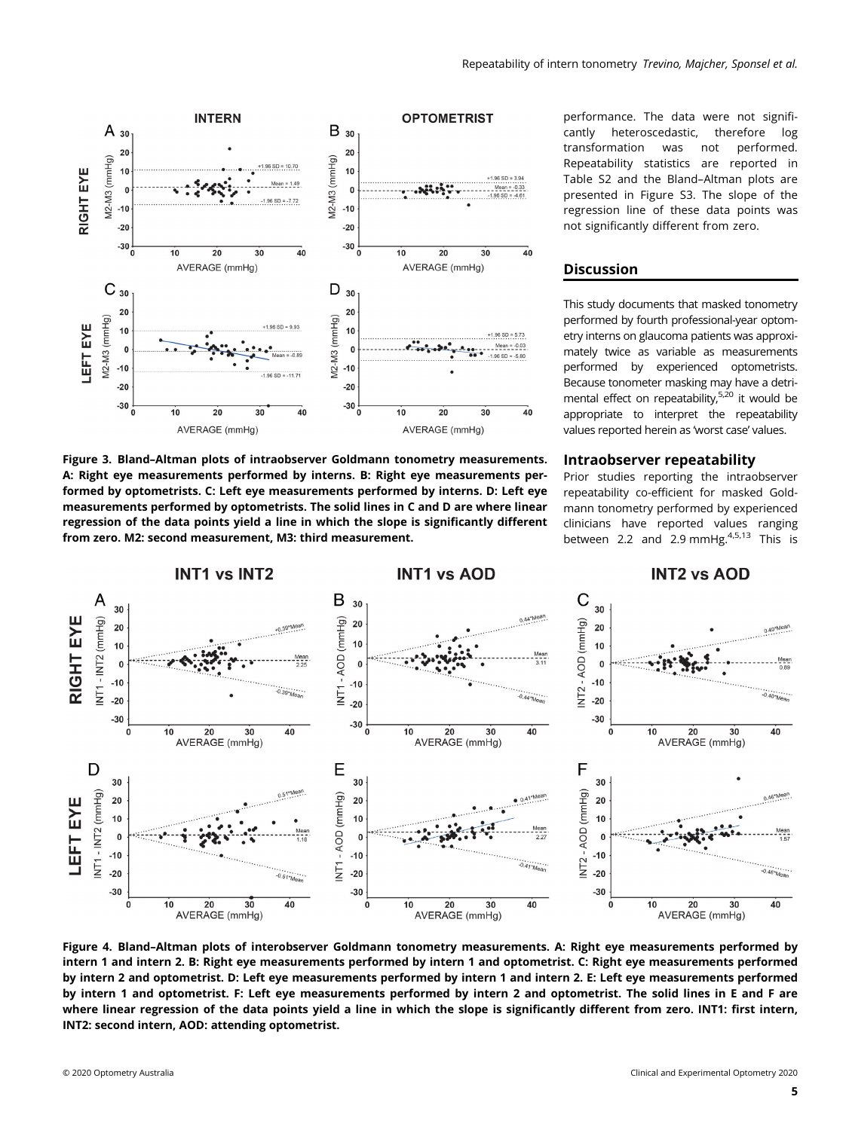



## performance. The data were not significantly heteroscedastic, therefore log transformation was not performed. Repeatability statistics are reported in Table S2 and the Bland–Altman plots are presented in Figure S3. The slope of the regression line of these data points was not significantly different from zero.

## Discussion

This study documents that masked tonometry performed by fourth professional-year optometry interns on glaucoma patients was approximately twice as variable as measurements performed by experienced optometrists. Because tonometer masking may have a detrimental effect on repeatability, $5,20$  it would be appropriate to interpret the repeatability values reported herein as 'worst case' values.

#### Intraobserver repeatability

Prior studies reporting the intraobserver repeatability co-efficient for masked Goldmann tonometry performed by experienced clinicians have reported values ranging between 2.2 and 2.9 mmHg. $4,5,13$  This is



Figure 4. Bland–Altman plots of interobserver Goldmann tonometry measurements. A: Right eye measurements performed by intern 1 and intern 2. B: Right eye measurements performed by intern 1 and optometrist. C: Right eye measurements performed by intern 2 and optometrist. D: Left eye measurements performed by intern 1 and intern 2. E: Left eye measurements performed by intern 1 and optometrist. F: Left eye measurements performed by intern 2 and optometrist. The solid lines in E and F are where linear regression of the data points yield a line in which the slope is significantly different from zero. INT1: first intern, INT2: second intern, AOD: attending optometrist.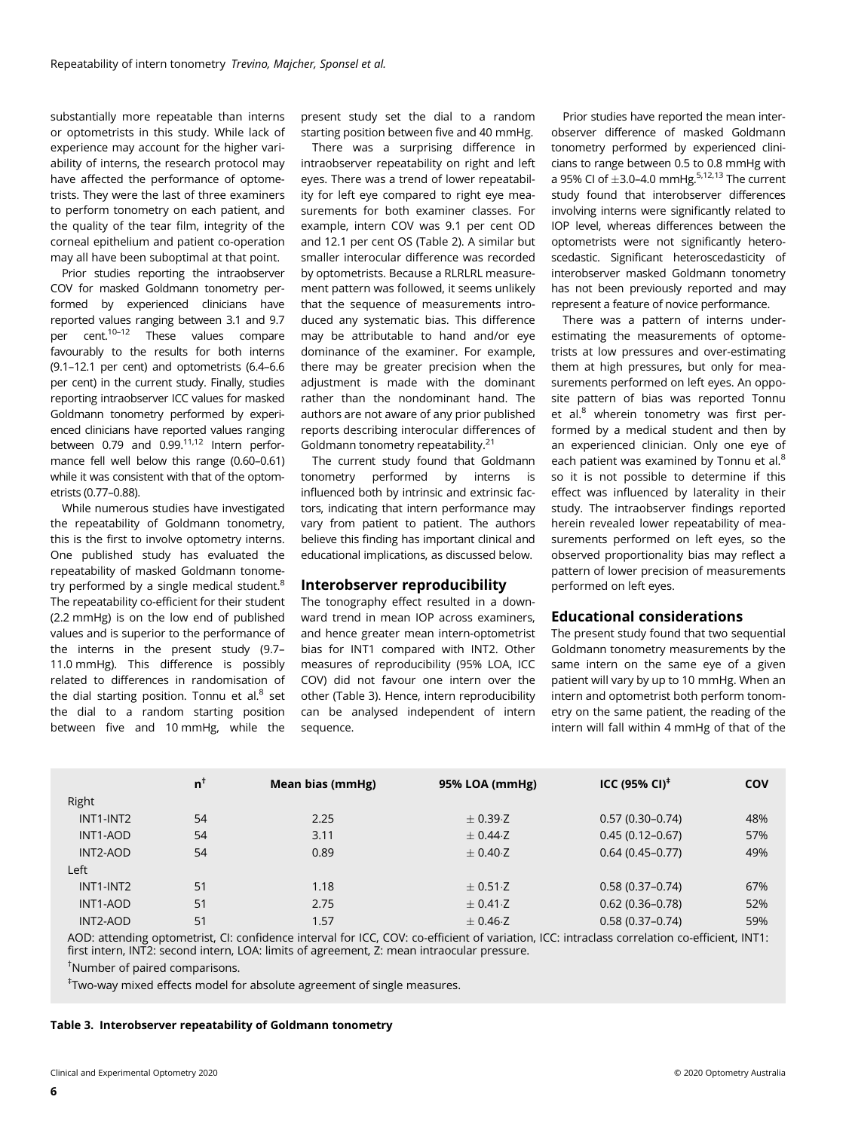substantially more repeatable than interns or optometrists in this study. While lack of experience may account for the higher variability of interns, the research protocol may have affected the performance of optometrists. They were the last of three examiners to perform tonometry on each patient, and the quality of the tear film, integrity of the corneal epithelium and patient co-operation may all have been suboptimal at that point.

Prior studies reporting the intraobserver COV for masked Goldmann tonometry performed by experienced clinicians have reported values ranging between 3.1 and 9.7 per cent.10–<sup>12</sup> These values compare favourably to the results for both interns (9.1–12.1 per cent) and optometrists (6.4–6.6 per cent) in the current study. Finally, studies reporting intraobserver ICC values for masked Goldmann tonometry performed by experienced clinicians have reported values ranging between 0.79 and 0.99.11,12 Intern performance fell well below this range (0.60–0.61) while it was consistent with that of the optometrists (0.77–0.88).

While numerous studies have investigated the repeatability of Goldmann tonometry, this is the first to involve optometry interns. One published study has evaluated the repeatability of masked Goldmann tonometry performed by a single medical student.<sup>8</sup> The repeatability co-efficient for their student (2.2 mmHg) is on the low end of published values and is superior to the performance of the interns in the present study (9.7– 11.0 mmHg). This difference is possibly related to differences in randomisation of the dial starting position. Tonnu et al. $8$  set the dial to a random starting position between five and 10 mmHg, while the

present study set the dial to a random starting position between five and 40 mmHg.

There was a surprising difference in intraobserver repeatability on right and left eyes. There was a trend of lower repeatability for left eye compared to right eye measurements for both examiner classes. For example, intern COV was 9.1 per cent OD and 12.1 per cent OS (Table 2). A similar but smaller interocular difference was recorded by optometrists. Because a RLRLRL measurement pattern was followed, it seems unlikely that the sequence of measurements introduced any systematic bias. This difference may be attributable to hand and/or eye dominance of the examiner. For example, there may be greater precision when the adjustment is made with the dominant rather than the nondominant hand. The authors are not aware of any prior published reports describing interocular differences of Goldmann tonometry repeatability.21

The current study found that Goldmann tonometry performed by interns is influenced both by intrinsic and extrinsic factors, indicating that intern performance may vary from patient to patient. The authors believe this finding has important clinical and educational implications, as discussed below.

#### Interobserver reproducibility

The tonography effect resulted in a downward trend in mean IOP across examiners, and hence greater mean intern-optometrist bias for INT1 compared with INT2. Other measures of reproducibility (95% LOA, ICC COV) did not favour one intern over the other (Table 3). Hence, intern reproducibility can be analysed independent of intern sequence.

Prior studies have reported the mean interobserver difference of masked Goldmann tonometry performed by experienced clinicians to range between 0.5 to 0.8 mmHg with a 95% CI of  $\pm$ 3.0–4.0 mmHg.<sup>5,12,13</sup> The current study found that interobserver differences involving interns were significantly related to IOP level, whereas differences between the optometrists were not significantly heteroscedastic. Significant heteroscedasticity of interobserver masked Goldmann tonometry has not been previously reported and may represent a feature of novice performance.

There was a pattern of interns underestimating the measurements of optometrists at low pressures and over-estimating them at high pressures, but only for measurements performed on left eyes. An opposite pattern of bias was reported Tonnu et al.<sup>8</sup> wherein tonometry was first performed by a medical student and then by an experienced clinician. Only one eye of each patient was examined by Tonnu et al.<sup>8</sup> so it is not possible to determine if this effect was influenced by laterality in their study. The intraobserver findings reported herein revealed lower repeatability of measurements performed on left eyes, so the observed proportionality bias may reflect a pattern of lower precision of measurements performed on left eyes.

#### Educational considerations

The present study found that two sequential Goldmann tonometry measurements by the same intern on the same eye of a given patient will vary by up to 10 mmHg. When an intern and optometrist both perform tonometry on the same patient, the reading of the intern will fall within 4 mmHg of that of the

|           | $n^{\dagger}$ | Mean bias (mmHg) | 95% LOA (mmHg)            | $ICC$ (95% $Cl$ ) <sup>‡</sup> | COV |
|-----------|---------------|------------------|---------------------------|--------------------------------|-----|
| Right     |               |                  |                           |                                |     |
| INT1-INT2 | 54            | 2.25             | $\pm$ 0.39.Z              | $0.57(0.30-0.74)$              | 48% |
| INT1-AOD  | 54            | 3.11             | $+ 0.44.7$                | $0.45(0.12-0.67)$              | 57% |
| INT2-AOD  | 54            | 0.89             | $+ 0.40 - Z$              | $0.64(0.45-0.77)$              | 49% |
| Left      |               |                  |                           |                                |     |
| INT1-INT2 | 51            | 1.18             | $\pm$ 0.51.Z              | $0.58(0.37-0.74)$              | 67% |
| INT1-AOD  | 51            | 2.75             | $\pm$ 0.41.Z              | $0.62(0.36 - 0.78)$            | 52% |
| INT2-AOD  | 51            | 1.57             | $\pm 0.46$ $\overline{z}$ | $0.58(0.37-0.74)$              | 59% |

AOD: attending optometrist, CI: confidence interval for ICC, COV: co-efficient of variation, ICC: intraclass correlation co-efficient, INT1: first intern, INT2: second intern, LOA: limits of agreement, Z: mean intraocular pressure.

† Number of paired comparisons.

‡ Two-way mixed effects model for absolute agreement of single measures.

#### Table 3. Interobserver repeatability of Goldmann tonometry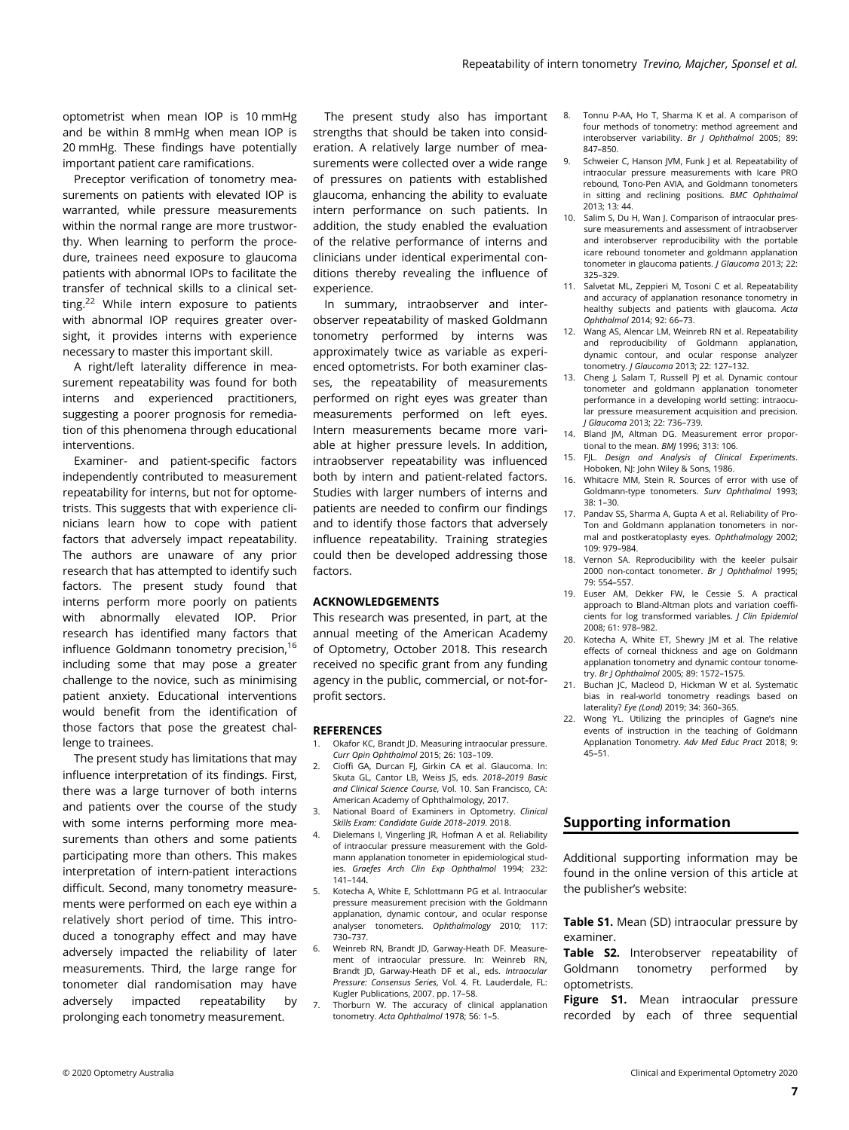optometrist when mean IOP is 10 mmHg and be within 8 mmHg when mean IOP is 20 mmHg. These findings have potentially important patient care ramifications.

Preceptor verification of tonometry measurements on patients with elevated IOP is warranted, while pressure measurements within the normal range are more trustworthy. When learning to perform the procedure, trainees need exposure to glaucoma patients with abnormal IOPs to facilitate the transfer of technical skills to a clinical setting.<sup>22</sup> While intern exposure to patients with abnormal IOP requires greater oversight, it provides interns with experience necessary to master this important skill.

A right/left laterality difference in measurement repeatability was found for both interns and experienced practitioners, suggesting a poorer prognosis for remediation of this phenomena through educational interventions.

Examiner- and patient-specific factors independently contributed to measurement repeatability for interns, but not for optometrists. This suggests that with experience clinicians learn how to cope with patient factors that adversely impact repeatability. The authors are unaware of any prior research that has attempted to identify such factors. The present study found that interns perform more poorly on patients with abnormally elevated IOP. Prior research has identified many factors that influence Goldmann tonometry precision,<sup>16</sup> including some that may pose a greater challenge to the novice, such as minimising patient anxiety. Educational interventions would benefit from the identification of those factors that pose the greatest challenge to trainees.

The present study has limitations that may influence interpretation of its findings. First, there was a large turnover of both interns and patients over the course of the study with some interns performing more measurements than others and some patients participating more than others. This makes interpretation of intern-patient interactions difficult. Second, many tonometry measurements were performed on each eye within a relatively short period of time. This introduced a tonography effect and may have adversely impacted the reliability of later measurements. Third, the large range for tonometer dial randomisation may have adversely impacted repeatability by prolonging each tonometry measurement.

The present study also has important strengths that should be taken into consideration. A relatively large number of measurements were collected over a wide range of pressures on patients with established glaucoma, enhancing the ability to evaluate intern performance on such patients. In addition, the study enabled the evaluation of the relative performance of interns and clinicians under identical experimental conditions thereby revealing the influence of experience.

In summary, intraobserver and interobserver repeatability of masked Goldmann tonometry performed by interns was approximately twice as variable as experienced optometrists. For both examiner classes, the repeatability of measurements performed on right eyes was greater than measurements performed on left eyes. Intern measurements became more variable at higher pressure levels. In addition, intraobserver repeatability was influenced both by intern and patient-related factors. Studies with larger numbers of interns and patients are needed to confirm our findings and to identify those factors that adversely influence repeatability. Training strategies could then be developed addressing those factors.

#### ACKNOWLEDGEMENTS

This research was presented, in part, at the annual meeting of the American Academy of Optometry, October 2018. This research received no specific grant from any funding agency in the public, commercial, or not-forprofit sectors.

#### **REFERENCES**

- 1. Okafor KC, Brandt JD. Measuring intraocular pressure. Curr Opin Ophthalmol 2015; 26: 103–109.
- Cioffi GA, Durcan Fl, Girkin CA et al. Glaucoma. In: Skuta GL, Cantor LB, Weiss JS, eds. 2018-2019 Basic and Clinical Science Course, Vol. 10. San Francisco, CA: American Academy of Ophthalmology, 2017.
- 3. National Board of Examiners in Optometry. Clinical Skills Exam: Candidate Guide 2018–2019. 2018.
- 4. Dielemans I, Vingerling JR, Hofman A et al. Reliability of intraocular pressure measurement with the Goldmann applanation tonometer in epidemiological studies. Graefes Arch Clin Exp Ophthalmol 1994; 232: 141–144.
- 5. Kotecha A, White E, Schlottmann PG et al. Intraocular pressure measurement precision with the Goldmann applanation, dynamic contour, and ocular response analyser tonometers. Ophthalmology 2010; 117: 730–737.
- 6. Weinreb RN, Brandt JD, Garway-Heath DF. Measurement of intraocular pressure. In: Weinreb RN, Brandt JD, Garway-Heath DF et al., eds. Intraocular Pressure: Consensus Series, Vol. 4. Ft. Lauderdale, FL: Kugler Publications, 2007. pp. 17–58.
- 7. Thorburn W. The accuracy of clinical applanation tonometry. Acta Ophthalmol 1978; 56: 1–5.
- 8. Tonnu P-AA, Ho T, Sharma K et al. A comparison of four methods of tonometry: method agreement and interobserver variability. Br J Ophthalmol 2005; 89: 847–850.
- 9. Schweier C, Hanson JVM, Funk J et al. Repeatability of intraocular pressure measurements with Icare PRO rebound, Tono-Pen AVIA, and Goldmann tonometers in sitting and reclining positions. BMC Ophthalmol 2013; 13: 44.
- 10. Salim S, Du H, Wan J. Comparison of intraocular pressure measurements and assessment of intraobserver and interobserver reproducibility with the portable icare rebound tonometer and goldmann applanation tonometer in glaucoma patients. J Glaucoma 2013; 22: 325–329.
- 11. Salvetat ML, Zeppieri M, Tosoni C et al. Repeatability and accuracy of applanation resonance tonometry in healthy subjects and patients with glaucoma. Acta Ophthalmol 2014; 92: 66–73.
- 12. Wang AS, Alencar LM, Weinreb RN et al. Repeatability and reproducibility of Goldmann applanation, dynamic contour, and ocular response analyzer tonometry. J Glaucoma 2013; 22: 127–132.
- 13. Cheng J, Salam T, Russell PI et al. Dynamic contour tonometer and goldmann applanation tonometer performance in a developing world setting: intraocular pressure measurement acquisition and precision. J Glaucoma 2013; 22: 736–739.
- 14. Bland JM, Altman DG. Measurement error proportional to the mean. BMJ 1996; 313: 106.
- 15. FIL. Design and Analysis of Clinical Experiments. Hoboken, NJ: John Wiley & Sons, 1986.
- 16. Whitacre MM, Stein R. Sources of error with use of Goldmann-type tonometers. Surv Ophthalmol 1993; 38: 1–30.
- 17. Pandav SS, Sharma A, Gupta A et al. Reliability of Pro-Ton and Goldmann applanation tonometers in normal and postkeratoplasty eyes. Ophthalmology 2002; 109: 979–984.
- 18. Vernon SA. Reproducibility with the keeler pulsair 2000 non-contact tonometer. Br J Ophthalmol 1995; 79: 554–557.
- Euser AM, Dekker FW, le Cessie S. A practical approach to Bland-Altman plots and variation coefficients for log transformed variables. J Clin Epidemiol 2008; 61: 978–982.
- 20. Kotecha A, White ET, Shewry JM et al. The relative effects of corneal thickness and age on Goldmann applanation tonometry and dynamic contour tonometry. Br J Ophthalmol 2005; 89: 1572–1575.
- 21. Buchan IC, Macleod D, Hickman W et al. Systematic bias in real-world tonometry readings based on laterality? Eye (Lond) 2019; 34: 360–365.
- Wong YL. Utilizing the principles of Gagne's nine events of instruction in the teaching of Goldmann Applanation Tonometry. Adv Med Educ Pract 2018; 9: 45–51.

## Supporting information

Additional supporting information may be found in the online version of this article at the publisher's website:

Table S1. Mean (SD) intraocular pressure by examiner.

Table S2. Interobserver repeatability of Goldmann tonometry performed by optometrists.

Figure S1. Mean intraocular pressure recorded by each of three sequential